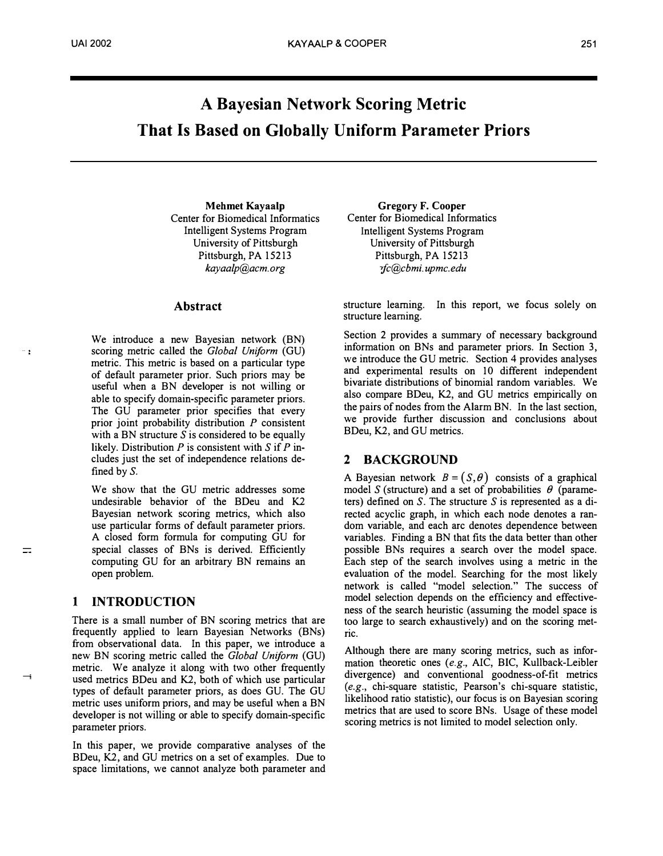# A Bayesian Network Scoring Metric That Is Based on Globally Uniform Parameter Priors

Mehmet Kayaalp Center for Biomedical Informatics Intelligent Systems Program University of Pittsburgh Pittsburgh, PA 15213 kayaalp@acm. org

# Abstract

We introduce a new Bayesian network (BN) scoring metric called the Global Uniform (GU) metric. This metric is based on a particular type of default parameter prior. Such priors may be useful when a BN developer is not willing or able to specify domain-specific parameter priors. The GU parameter prior specifies that every prior joint probability distribution  $P$  consistent with a BN structure  $S$  is considered to be equally likely. Distribution  $P$  is consistent with  $S$  if  $P$  includes just the set of independence relations defined by S.

We show that the GU metric addresses some undesirable behavior of the BDeu and K2 Bayesian network scoring metrics, which also use particular forms of default parameter priors. A closed form formula for computing GU for special classes of BNs is derived. Efficiently computing GU for an arbitrary BN remains an open problem.

# 1 INTRODUCTION

 $\rightarrow$ 

 $=$ 

 $\sim$  :

There is a small number of BN scoring metrics that are frequently applied to learn Bayesian Networks (BNs) from observational data. In this paper, we introduce a new BN scoring metric called the Global Uniform (GU) metric. We analyze it along with two other frequently used metrics BDeu and K2, both of which use particular types of default parameter priors, as does GU. The GU metric uses uniform priors, and may be useful when a BN developer is not willing or able to specify domain-specific parameter priors.

In this paper, we provide comparative analyses of the BDeu, K2, and GU metrics on a set of examples. Due to space limitations, we cannot analyze both parameter and

Gregory F. Cooper Center for Biomedical Informatics Intelligent Systems Program University of Pittsburgh Pittsburgh, PA 15213 "fc@cbmi. up me. edu

structure learning. In this report, we focus solely on structure learning.

Section 2 provides a summary of necessary background information on BNs and parameter priors. In Section 3, we introduce the GU metric. Section 4 provides analyses and experimental results on 10 different independent bivariate distributions of binomial random variables. We also compare BDeu, K2, and GU metrics empirically on the pairs of nodes from the Alarm BN. In the last section, we provide further discussion and conclusions about BDeu, K2, and GU metrics.

# 2 BACKGROUND

A Bayesian network  $B = (S, \theta)$  consists of a graphical model S (structure) and a set of probabilities  $\theta$  (parameters) defined on  $S$ . The structure  $S$  is represented as a directed acyclic graph, in which each node denotes a random variable, and each arc denotes dependence between variables. Finding a BN that fits the data better than other possible BNs requires a search over the model space. Each step of the search involves using a metric in the evaluation of the model. Searching for the most likely network is called "model selection." The success of model selection depends on the efficiency and effectiveness of the search heuristic (assuming the model space is too large to search exhaustively) and on the scoring metric.

Although there are many scoring metrics, such as information theoretic ones (e.g., AIC, BIC, Kullback-Leibler divergence) and conventional goodness-of-fit metrics (e.g., chi-square statistic, Pearson's chi-square statistic, likelihood ratio statistic), our focus is on Bayesian scoring metrics that are used to score BNs. Usage of these model scoring metrics is not limited to model selection only.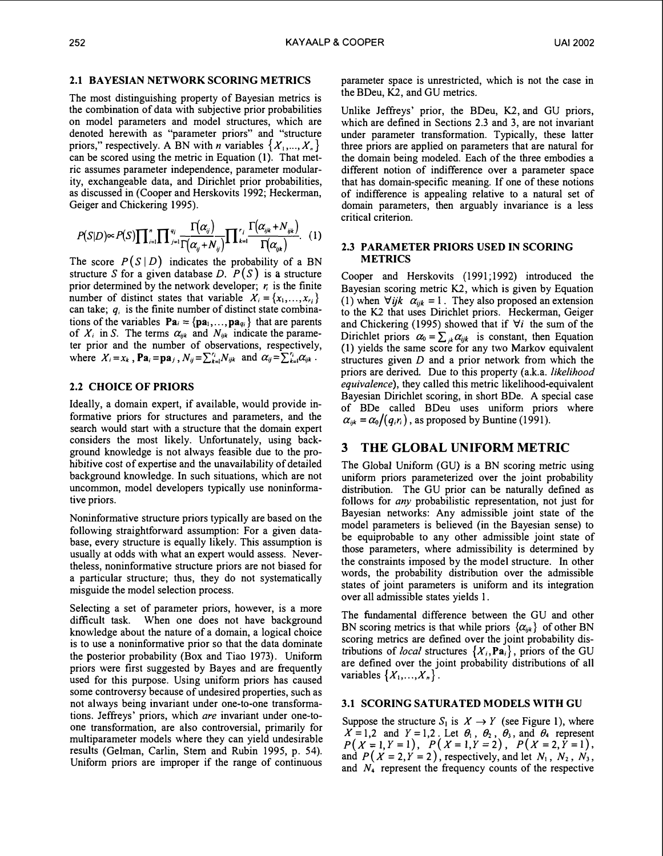# 2.1 BAYESIAN NETWORK SCORING METRICS

The most distinguishing property of Bayesian metrics is the combination of data with subjective prior probabilities on model parameters and model structures, which are denoted herewith as "parameter priors" and "structure priors," respectively. A BN with *n* variables  $\{X_1, ..., X_n\}$ can be scored using the metric in Equation (I). That metric assumes parameter independence, parameter modularity, exchangeable data, and Dirichlet prior probabilities, as discussed in (Cooper and Herskovits 1992; Heckerman, Geiger and Chickering 1995).

$$
P(S|D) \propto P(S) \prod_{i=1}^n \prod_{j=1}^{q_i} \frac{\Gamma(\alpha_{ij})}{\Gamma(\alpha_{ij}+N_{ij})} \prod_{k=1}^{r_i} \frac{\Gamma(\alpha_{ijk}+N_{ijk})}{\Gamma(\alpha_{ijk})}.
$$
 (1)

 $\mathcal{L}$ 

The score  $P(S | D)$  indicates the probability of a BN structure S for a given database D.  $P(S)$  is a structure prior determined by the network developer;  $r_i$  is the finite number of distinct states that variable  $X_i = \{x_1, \ldots, x_{r_i}\}\$ can take;  $q_i$  is the finite number of distinct state combinations of the variables  $\mathbf{Pa}_i = \{pa_1, \ldots, pa_{qi}\}\$  that are parents of  $X_i$  in S. The terms  $\alpha_{ijk}$  and  $N_{ijk}$  indicate the parameter prior and the number of observations, respectively, where  $X_i = x_k$ ,  $\mathbf{Pa}_i = \mathbf{pa}_j$ ,  $N_{ij} = \sum_{k=1}^{r_i} N_{ijk}$  and  $\alpha_{ij} = \sum_{k=1}^{r_i} \alpha_{ijk}$ .

# 2.2 CHOICE OF PRIORS

Ideally, a domain expert, if available, would provide informative priors for structures and parameters, and the search would start with a structure that the domain expert considers the most likely. Unfortunately, using background knowledge is not always feasible due to the prohibitive cost of expertise and the unavailability of detailed background knowledge. In such situations, which are not uncommon, model developers typically use noninformative priors.

Noninformative structure priors typically are based on the following straightforward assumption: For a given database, every structure is equally likely. This assumption is usually at odds with what an expert would assess. Nevertheless, noninformative structure priors are not biased for a particular structure; thus, they do not systematically misguide the model selection process.

Selecting a set of parameter priors, however, is a more difficult task. When one does not have background knowledge about the nature of a domain, a logical choice is to use a noninformative prior so that the data dominate the posterior probability (Box and Tiao 1973). Uniform priors were first suggested by Bayes and are frequently used for this purpose. Using uniform priors has caused some controversy because of undesired properties, such as not always being invariant under one-to-one transformations. Jeffreys' priors, which are invariant under one-toone transformation, are also controversial, primarily for multiparameter models where they can yield undesirable results (Gelman, Carlin, Stem and Rubin 1995, p. 54). Uniform priors are improper if the range of continuous parameter space is unrestricted, which is not the case in the BDeu, K2, and GU metrics.

Unlike Jeffreys' prior, the BDeu, K2, and GU priors, which are defined in Sections 2.3 and 3, are not invariant under parameter transformation. Typically, these latter three priors are applied on parameters that are natural for the domain being modeled. Each of the three embodies a different notion of indifference over a parameter space that has domain-specific meaning. If one of these notions of indifference is appealing relative to a natural set of domain parameters, then arguably invariance is a less critical criterion.

#### 2.3 PARAMETER PRIORS USED IN SCORING METRICS

Cooper and Herskovits (1991;1992) introduced the Bayesian scoring metric K2, which is given by Equation (1) when  $\forall ijk \ \alpha_{ijk} = 1$ . They also proposed an extension to the K2 that uses Dirichlet priors. Heckerman, Geiger and Chickering (1995) showed that if  $\forall i$  the sum of the Dirichlet priors  $\alpha_0 = \sum_{jk} \alpha_{ijk}$  is constant, then Equation (I) yields the same score for any two Markov equivalent structures given  $D$  and a prior network from which the priors are derived. Due to this property (a.k.a. *likelihood* equivalence), they called this metric likelihood-equivalent Bayesian Dirichlet scoring, in short BDe. A special case of BDe called BDeu uses uniform priors where  $\alpha_{ijk} = \alpha_0/(q_i r_i)$ , as proposed by Buntine (1991).

# 3 THE GLOBAL UNIFORM METRIC

The Global Uniform (GU) is a BN scoring metric using uniform priors parameterized over the joint probability distribution. The GU prior can be naturally defined as follows for any probabilistic representation, not just for Bayesian networks: Any admissible joint state of the model parameters is believed (in the Bayesian sense) to be equiprobable to any other admissible joint state of those parameters, where admissibility is determined by the constraints imposed by the model structure. In other words, the probability distribution over the admissible states of joint parameters is uniform and its integration over all admissible states yields I.

The fundamental difference between the GU and other BN scoring metrics is that while priors  $\{\alpha_{ijk}\}\$  of other BN scoring metrics are defined over the joint probability distributions of *local* structures  $\{X_i, \text{Pa}_i\}$ , priors of the GU are defined over the joint probability distributions of all variables  $\{X_1, \ldots, X_n\}$ .

# 3.1 SCORING SATURATED MODELS WITH GU

Suppose the structure  $S_1$  is  $X \to Y$  (see Figure 1), where  $X = 1,2$  and  $Y = 1,2$ . Let  $\theta_1$ ,  $\theta_2$ ,  $\theta_3$ , and  $\theta_4$  represent  $P(X=1, Y=1), P(X=1, Y=2), P(X=2, Y=1),$ and  $P(X = 2, Y = 2)$ , respectively, and let  $N_1$ ,  $N_2$ ,  $N_3$ , and  $N<sub>4</sub>$  represent the frequency counts of the respective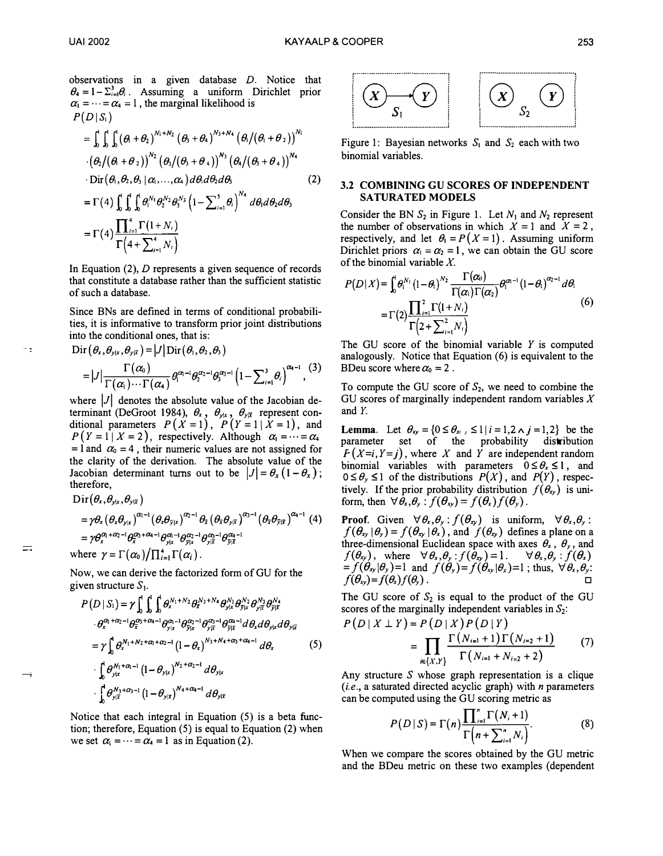- -

 $\equiv$ 

observations in a given database D. Notice that  $\theta_4 = 1 - \sum_{i=1}^3 \theta_i$ . Assuming a uniform Dirichlet prior  $\alpha_1 = \cdots = \alpha_4 = 1$ , the marginal likelihood is  $P(D|S_i)$ 

$$
= \int_0^1 \int_0^1 \int_0^1 (\theta + \theta_2)^{N_1 + N_2} (\theta_3 + \theta_4)^{N_3 + N_4} (\theta_1/(\theta_1 + \theta_2))^{N_1}
$$
  
\n
$$
\cdot (\theta_2/(\theta_1 + \theta_2))^{N_2} (\theta_3/(\theta_3 + \theta_4))^{N_3} (\theta_4/(\theta_3 + \theta_4))^{N_4}
$$
  
\n
$$
\cdot \text{Dir} (\theta_1, \theta_2, \theta_3 | \alpha_1, ..., \alpha_4) d\theta_1 d\theta_2 d\theta_3
$$
  
\n
$$
= \Gamma(4) \int_0^1 \int_0^1 \int_0^1 \theta_1^{N_1} \theta_2^{N_2} \theta_3^{N_3} (1 - \sum_{i=1}^3 \theta_i)^{N_4} d\theta_1 d\theta_2 d\theta_3
$$
  
\n
$$
= \Gamma(4) \frac{\prod_{i=1}^4 \Gamma(1 + N_i)}{\Gamma(4 + \sum_{i=1}^4 N_i)}
$$
 (2)

In Equation  $(2)$ , D represents a given sequence of records that constitute a database rather than the sufficient statistic of such a database.

Since BNs are defined in terms of conditional probabilities, it is informative to transform prior joint distributions into the conditional ones, that is:

$$
\mathrm{Dir}\left(\theta_{x},\theta_{y|x},\theta_{y|\bar{x}}\right)=\left|J\right|\mathrm{Dir}\left(\theta_{1},\theta_{2},\theta_{3}\right)\\=\left|J\right|\frac{\Gamma\left(\alpha_{0}\right)}{\Gamma\left(\alpha_{1}\right)\cdots\Gamma\left(\alpha_{4}\right)}\theta_{1}^{\alpha_{1}-1}\theta_{2}^{\alpha_{2}-1}\theta_{3}^{\alpha_{3}-1}\left(1-\sum_{i=1}^{3}\theta_{i}\right)^{\alpha_{4}-1},
$$
\n(3)

where  $|J|$  denotes the absolute value of the Jacobian determinant (DeGroot 1984),  $\theta_x$ ,  $\theta_{y|x}$ ,  $\theta_{y|\bar{x}}$  represent conditional parameters  $P(X = 1)$ ,  $P(Y = 1 | X = 1)$ , and  $P(Y = 1 | X = 2)$ , respectively. Although  $\alpha_1 = \cdots = \alpha_4$ = 1 and  $\alpha_0$  = 4, their numeric values are not assigned for the clarity of the derivation. The absolute value of the Jacobian determinant turns out to be  $|J| = \theta_x (1 - \theta_x)$ ; therefore,

$$
\begin{split} &\text{Dir}\left(\theta_{x},\theta_{y|x},\theta_{y|\bar{x}}\right) \\ &=\gamma\theta_{x}\left(\theta_{x}\theta_{y|x}\right)^{\alpha_{1}-1}\left(\theta_{x}\theta_{\bar{y}|x}\right)^{\alpha_{2}-1}\theta_{\bar{x}}\left(\theta_{\bar{x}}\theta_{y|\bar{x}}\right)^{\alpha_{3}-1}\left(\theta_{\bar{x}}\theta_{\bar{y}|\bar{x}}\right)^{\alpha_{4}-1}\left(4\right) \\ &=\gamma\theta_{x}^{\alpha_{1}+\alpha_{2}-1}\theta_{\bar{x}}^{\alpha_{3}+\alpha_{4}-1}\theta_{y|x}^{\alpha_{1}-1}\theta_{y|x}^{\alpha_{2}-1}\theta_{y|\bar{x}}^{\alpha_{3}-1}\theta_{\bar{y}|\bar{x}}^{\alpha_{4}-1} \\ &\text{where}\;\;\gamma=\Gamma\left(\alpha_{0}\right)/\prod_{i=1}^{4}\Gamma\left(\alpha_{i}\right).
$$

Now, we can derive the factorized form of GU for the given structure  $S_1$ .

$$
P(D | S_1) = \gamma \int_0^1 \int_0^1 \int_0^1 \theta_x^{N_1 + N_2} \theta_x^{N_3 + N_4} \theta_{y|x}^{N_1} \theta_{y|x}^{N_2} \theta_{y|x}^{N_3} \theta_{y|x}^{N_4}
$$

$$
\cdot \theta_x^{\alpha_1 + \alpha_2 - 1} \theta_x^{\alpha_3 + \alpha_4 - 1} \theta_{y|x}^{\alpha_1 - 1} \theta_{y|x}^{\alpha_2 - 1} \theta_{y|x}^{\alpha_3 - 1} \theta_{y|x}^{\alpha_4 - 1} d\theta_x d\theta_{y|x} d\theta_{y|x}
$$

$$
= \gamma \int_0^1 \theta_x^{N_1 + N_2 + \alpha_1 + \alpha_2 - 1} (1 - \theta_x)^{N_3 + N_4 + \alpha_3 + \alpha_4 - 1} d\theta_x
$$
(5)
$$
\cdot \int_0^1 \theta_{y|x}^{N_1 + \alpha_1 - 1} (1 - \theta_{y|x})^{N_2 + \alpha_2 - 1} d\theta_{y|x}
$$

$$
\cdot \int_0^1 \theta_{y|x}^{N_3 + \alpha_3 - 1} (1 - \theta_{y|x})^{N_4 + \alpha_4 - 1} d\theta_{y|x}
$$

Notice that each integral in Equation (5) is a beta function; therefore, Equation (5) is equal to Equation (2) when we set  $\alpha_1 = \cdots = \alpha_4 = 1$  as in Equation (2).



Figure 1: Bayesian networks  $S_1$  and  $S_2$  each with two binomial variables.

#### 3.2 COMBINING GU SCORES OF INDEPENDENT SATURATED MODELS

Consider the BN  $S_2$  in Figure 1. Let  $N_1$  and  $N_2$  represent the number of observations in which  $X = 1$  and  $X = 2$ , respectively, and let  $\theta_1 = P(X = 1)$ . Assuming uniform Dirichlet priors  $\alpha_1 = \alpha_2 = 1$ , we can obtain the GU score of the binomial variable  $X$ .

$$
P(D|X) = \int_0^1 \theta_1^{N_1} (1-\theta_1)^{N_2} \frac{\Gamma(\alpha_0)}{\Gamma(\alpha_1)\Gamma(\alpha_2)} \theta_1^{\alpha_1-1} (1-\theta_1)^{\alpha_2-1} d\theta_1
$$
  
=  $\Gamma(2) \frac{\prod_{i=1}^2 \Gamma(1+N_i)}{\Gamma(2+\sum_{i=1}^2 N_i)}$  (6)

The GU score of the binomial variable  $Y$  is computed analogously. Notice that Equation  $(6)$  is equivalent to the BDeu score where  $\alpha_0 = 2$ .

To compute the GU score of  $S_2$ , we need to combine the GU scores of marginally independent random variables  $X$ and Y.

**Lemma.** Let  $\theta_{xy} = \{0 \le \theta_{xy}, \le 1 | i = 1, 2 \land j = 1, 2\}$  be the parameter set of the probability distribution  $F(X=i, Y=j)$ , where X and Y are independent random binomial variables with parameters  $0 \le \theta_x \le 1$ , and  $0 \leq \theta_y \leq 1$  of the distributions  $P(X)$ , and  $P(Y)$ , respectively. If the prior probability distribution  $f(\theta_{xy})$  is uniform, then  $\forall \theta_x, \theta_y : f(\theta_x) = f(\theta_x)f(\theta_y)$ .

**Proof.** Given  $\forall \theta_x, \theta_y : f(\theta_{xy})$  is uniform,  $\forall \theta_x, \theta_y$ :  $f(\theta_{xy}|\theta_y)=f(\theta_{xy}|\theta_x)$ , and  $f(\theta_{xy})$  defines a plane on a three-dimensional Euclidean space with axes  $\theta_x$ ,  $\theta_y$ , and  $f(\theta_{xy})$ , where  $\forall \theta_x, \theta_y : f(\theta_{xy}) = 1$ .  $\forall \theta_x, \theta_y : f(\theta_x)$  $=f(\theta_{xy}|\theta_y)=1$  and  $f(\theta_y)=f(\theta_{xy}|\theta_x)=1$ ; thus,  $\forall \theta_x, \theta_y$ :  $f(\theta_{xy}) = f(\theta_x)f(\theta_y)$ .

The GU score of  $S_2$  is equal to the product of the GU scores of the marginally independent variables in  $S_2$ :

$$
P(D \mid X \perp Y) = P(D \mid X) P(D \mid Y)
$$
  
= 
$$
\prod_{i \in \{X,Y\}} \frac{\Gamma(N_{i=1} + 1) \Gamma(N_{i=2} + 1)}{\Gamma(N_{i=1} + N_{i=2} + 2)}
$$
 (7)

Any structure  $S$  whose graph representation is a clique  $(i.e., a saturated directed acyclic graph)$  with *n* parameters can be computed using the GU scoring metric as

$$
P(D | S) = \Gamma(n) \frac{\prod_{i=1}^{n} \Gamma(N_i + 1)}{\Gamma(n + \sum_{i=1}^{n} N_i)}.
$$
 (8)

When we compare the scores obtained by the GU metric and the BDeu metric on these two examples (dependent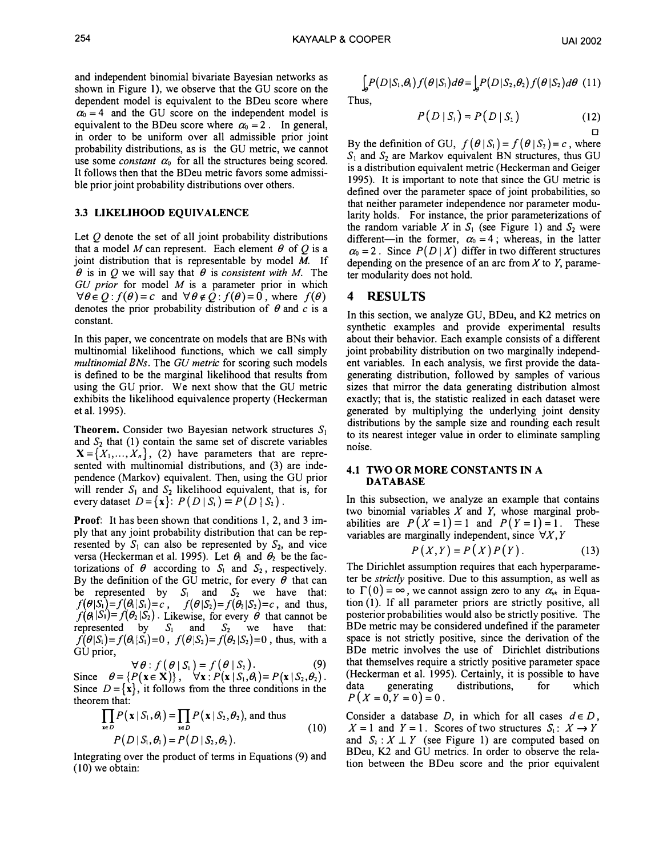and independent binomial bivariate Bayesian networks as shown in Figure I), we observe that the GU score on the dependent model is equivalent to the BDeu score where  $\alpha_0 = 4$  and the GU score on the independent model is equivalent to the BDeu score where  $\alpha_0 = 2$ . In general, in order to be uniform over all admissible prior joint probability distributions, as is the GU metric, we cannot use some *constant*  $\alpha_0$  for all the structures being scored. It follows then that the BDeu metric favors some admissible prior joint probability distributions over others.

#### 3.3 LIKELIHOOD EQUIVALENCE

Let  $O$  denote the set of all joint probability distributions that a model M can represent. Each element  $\theta$  of Q is a joint distribution that is representable by model  $M$ . If  $\theta$  is in Q we will say that  $\theta$  is consistent with M. The  $GU$  prior for model  $M$  is a parameter prior in which  $\forall \theta \in Q$ :  $f(\theta) = c$  and  $\forall \theta \notin Q$ :  $f(\theta) = 0$ , where  $f(\theta)$ denotes the prior probability distribution of  $\theta$  and c is a constant.

In this paper, we concentrate on models that are BNs with multinomial likelihood functions, which we call simply multinomial BNs. The GU metric for scoring such models is defined to be the marginal likelihood that results from using the GU prior. We next show that the GU metric exhibits the likelihood equivalence property (Heckerman et al. 1995).

**Theorem.** Consider two Bayesian network structures  $S_1$ and  $S_2$  that (1) contain the same set of discrete variables  $X = \{X_1, ..., X_n\}$ , (2) have parameters that are represented with multinomial distributions, and (3) are independence (Markov) equivalent. Then, using the GU prior will render  $S_1$  and  $S_2$  likelihood equivalent, that is, for every dataset  $D = \{x\}$ :  $P(D | S_1) = P(D | S_2)$ .

**Proof:** It has been shown that conditions 1, 2, and 3 imply that any joint probability distribution that can be represented by  $S_1$  can also be represented by  $S_2$ , and vice versa (Heckerman et al. 1995). Let  $\theta_1$  and  $\theta_2$  be the factorizations of  $\theta$  according to  $S_1$  and  $S_2$ , respectively. By the definition of the GU metric, for every  $\theta$  that can be represented by  $S_1$  and  $S_2$  we have that:  $f(\theta|S_1)=f(\theta|S_1)=c$ ,  $f(\theta|S_2)=f(\theta_2|S_2)=c$ , and thus,  $f(\theta_1|S_1)=f(\theta_2|S_2)$ . Likewise, for every  $\theta$  that cannot be represented by  $S_1$  and  $S_2$  we have that:  $f(\theta|S_1)=f(\theta|S_1)=0$ ,  $f(\theta|S_2)=f(\theta_2|S_2)=0$ , thus, with a GU prior,

 $\forall \theta : f(\theta | S_1) = f(\theta | S_2).$  (9) Since  $\theta = \{P(x \in X)\}, \quad \forall x : P(x \mid S_1, \theta) = P(x \mid S_2, \theta_2).$ Since  $D = \{x\}$ , it follows from the three conditions in the theorem that:

$$
\prod_{\mathbf{x}\in D} P(\mathbf{x} | S_1, \theta_1) = \prod_{\mathbf{x}\in D} P(\mathbf{x} | S_2, \theta_2), \text{ and thus}
$$
\n
$$
P(D | S_1, \theta_1) = P(D | S_2, \theta_2).
$$
\n(10)

Integrating over the product of terms in Equations (9) and (10) we obtain:

$$
\int_{\mathcal{A}} P(D|S_1, \theta) f(\theta|S_1) d\theta = \int_{\mathcal{A}} P(D|S_2, \theta_2) f(\theta|S_2) d\theta
$$
 (11)

Thus,

$$
P(D | S_1) = P(D | S_2)
$$
 (12)

By the definition of GU,  $f(\theta | S_1) = f(\theta | S_2) = c$ , where  $S_1$  and  $S_2$  are Markov equivalent BN structures, thus GU is a distribution equivalent metric (Heckerman and Geiger 1995). It is important to note that since the GU metric is defined over the parameter space of joint probabilities, so that neither parameter independence nor parameter modularity holds. For instance, the prior parameterizations of the random variable X in  $S_1$  (see Figure 1) and  $S_2$  were different-in the former,  $\alpha_0 = 4$ ; whereas, in the latter  $\alpha_0 = 2$ . Since  $P(D | X)$  differ in two different structures depending on the presence of an arc from  $X$  to  $Y$ , parameter modularity does not hold.

# 4 RESULTS

In this section, we analyze GU, BDeu, and K2 metrics on synthetic examples and provide experimental results about their behavior. Each example consists of a different joint probability distribution on two marginally independent variables. In each analysis, we first provide the datagenerating distribution, followed by samples of various sizes that mirror the data generating distribution almost exactly; that is, the statistic realized in each dataset were generated by multiplying the underlying joint density distributions by the sample size and rounding each result to its nearest integer value in order to eliminate sampling noise.

#### 4.1 TWO OR MORE CONSTANTS IN A DATABASE

In this subsection, we analyze an example that contains two binomial variables  $X$  and  $Y$ , whose marginal probabilities are  $P(X = 1) = 1$  and  $P(Y = 1) = 1$ . These variables are marginally independent, since  $\forall X, Y$ 

$$
P(X,Y) = P(X)P(Y).
$$
 (13)

The Dirichlet assumption requires that each hyperparameter be *strictly* positive. Due to this assumption, as well as to  $\Gamma(0) = \infty$ , we cannot assign zero to any  $\alpha_{ijk}$  in Equation (1). If all parameter priors are strictly positive, all posterior probabilities would also be strictly positive. The BDe metric may be considered undefined if the parameter space is not strictly positive, since the derivation of the BDe metric involves the use of Dirichlet distributions that themselves require a strictly positive parameter space (Heckerman et a!. 1995). Certainly, it is possible to have data generating distributions, for which  $P(X = 0, Y = 0) = 0$ .

Consider a database D, in which for all cases  $d \in D$ ,  $X = 1$  and  $Y = 1$ . Scores of two structures  $S_1: X \to Y$ and  $S_2$ :  $X \perp Y$  (see Figure 1) are computed based on BDeu, K2 and GU metrics. In order to observe the relation between the BDeu score and the prior equivalent

 $\Box$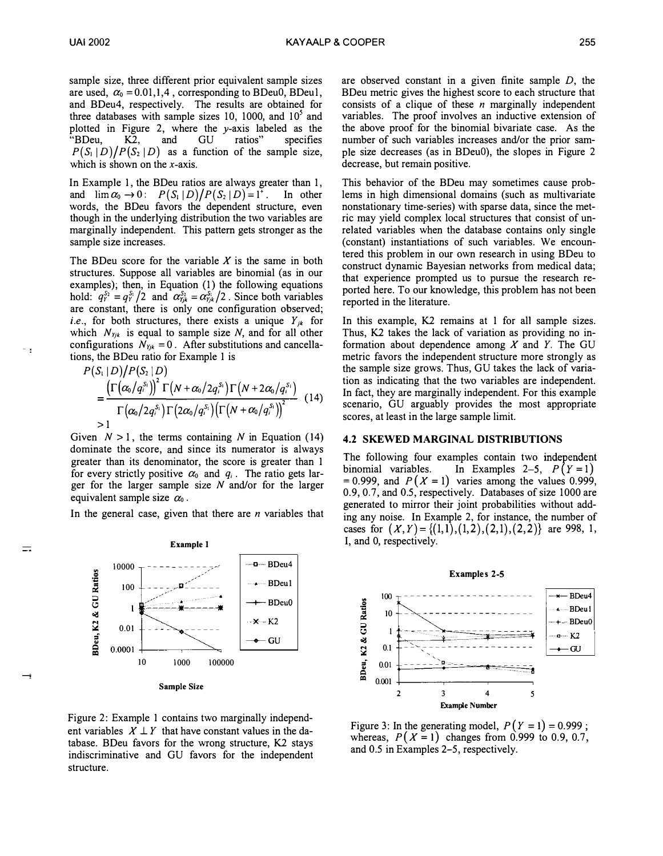$\cdot$  :

 $\equiv$ 

sample size, three different prior equivalent sample sizes are used,  $\alpha_0 = 0.01, 1, 4$ , corresponding to BDeu0, BDeu1, and BDeu4, respectively. The results are obtained for three databases with sample sizes 10, 1000, and  $10<sup>5</sup>$  and plotted in Figure 2, where the  $\nu$ -axis labeled as the "BDeu, K2, and GU ratios" specifies  $P(S_1 | D)/P(S_2 | D)$  as a function of the sample size, which is shown on the  $x$ -axis.

In Example I, the BDeu ratios are always greater than I, and  $\lim \alpha_0 \to 0$ :  $P(S_1|D)/P(S_2|D)=1^*$ . In other words, the BDeu favors the dependent structure, even though in the underlying distribution the two variables are marginally independent. This pattern gets stronger as the sample size increases.

The BDeu score for the variable  $X$  is the same in both structures. Suppose all variables are binomial (as in our examples); then, in Equation (I) the following equations hold:  $q_Y^{S_2} = q_Y^{S_1}/2$  and  $\alpha_{Yjk}^{S_2} = \alpha_{Yjk}^{S_1}/2$ . Since both variables are constant, there is only one configuration observed; *i.e.*, for both structures, there exists a unique  $Y_{jk}$  for which  $N_{\gamma jk}$  is equal to sample size N, and for all other configurations  $N_{Yjk} = 0$ . After substitutions and cancellations, the BDeu ratio for Example I is

$$
P(S_i | D)/P(S_i | D)
$$
  
= 
$$
\frac{\left(\Gamma(\alpha_0/q_i^{S_i})\right)^2 \Gamma(N + \alpha_0/2q_i^{S_i}) \Gamma(N + 2\alpha_0/q_i^{S_i})}{\Gamma(\alpha_0/2q_i^{S_i}) \Gamma(2\alpha_0/q_i^{S_i}) (\Gamma(N + \alpha_0/q_i^{S_i}))}
$$
(14)  
>1

Given  $N > 1$ , the terms containing N in Equation (14) dominate the score, and since its numerator is always greater than its denominator, the score is greater than I for every strictly positive  $\alpha_0$  and  $q_i$ . The ratio gets larger for the larger sample size  $N$  and/or for the larger equivalent sample size  $\alpha_0$ .

In the general case, given that there are  $n$  variables that



Sample Size

Figure 2: Example I contains two marginally independent variables  $X \perp Y$  that have constant values in the database. BDeu favors for the wrong structure, K2 stays indiscriminative and GU favors for the independent structure.

are observed constant in a given finite sample D, the BDeu metric gives the highest score to each structure that consists of a clique of these  $n$  marginally independent variables. The proof involves an inductive extension of the above proof for the binomial bivariate case. As the number of such variables increases and/or the prior sample size decreases (as in BDeuO), the slopes in Figure 2 decrease, but remain positive.

This behavior of the BDeu may sometimes cause problems in high dimensional domains (such as multivariate nonstationary time-series) with sparse data, since the metric may yield complex local structures that consist of unrelated variables when the database contains only single (constant) instantiations of such variables. We encountered this problem in our own research in using BDeu to construct dynamic Bayesian networks from medical data; that experience prompted us to pursue the research reported here. To our knowledge, this problem has not been reported in the literature.

In this example, K2 remains at I for all sample sizes. Thus, K2 takes the lack of variation as providing no information about dependence among  $X$  and  $Y$ . The GU metric favors the independent structure more strongly as the sample size grows. Thus, GU takes the lack of variation as indicating that the two variables are independent. In fact, they are marginally independent. For this example scenario, GU arguably provides the most appropriate scores, at least in the large sample limit.

#### 4.2 SKEWED MARGINAL DISTRIBUTIONS

The following four examples contain two independent<br>binomial variables. In Examples 2–5,  $P(Y=1)$ In Examples 2-5,  $P(Y = 1)$ = 0.999, and  $P(X = 1)$  varies among the values 0.999, 0.9, 0.7 , and 0.5, respectively. Databases of size 1000 are generated to mirror their joint probabilities without adding any noise. In Example 2, for instance, the number of cases for  $(X, Y) = \{(1,1), (1,2), (2,1), (2,2)\}$  are 998, 1, I, and 0, respectively.



Figure 3: In the generating model,  $P(Y = 1) = 0.999$ ; whereas,  $P(X = 1)$  changes from 0.999 to 0.9, 0.7, and 0.5 in Examples 2-5, respectively.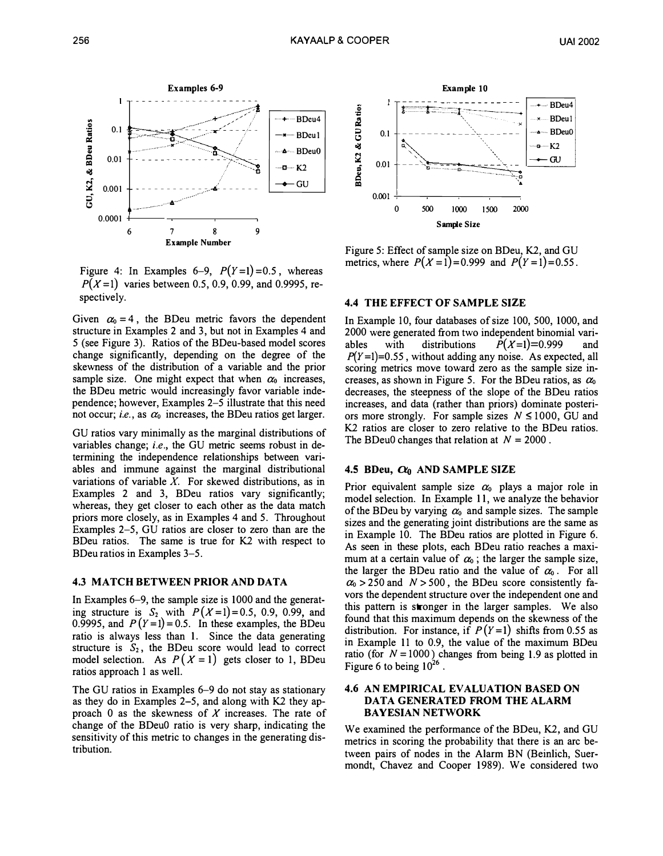

Figure 4: In Examples 6-9,  $P(Y=1)=0.5$ , whereas  $P(X=1)$  varies between 0.5, 0.9, 0.99, and 0.9995, respectively.

Given  $\alpha_0 = 4$ , the BDeu metric favors the dependent structure in Examples 2 and 3, but not in Examples 4 and 5 (see Figure 3). Ratios of the BDeu-based model scores change significantly, depending on the degree of the skewness of the distribution of a variable and the prior sample size. One might expect that when  $\alpha_0$  increases, the BDeu metric would increasingly favor variable independence; however, Examples 2-5 illustrate that this need not occur; i.e., as  $\alpha_0$  increases, the BDeu ratios get larger.

GU ratios vary minimally as the marginal distributions of variables change; i.e., the GU metric seems robust in determining the independence relationships between variables and immune against the marginal distributional variations of variable  $X$ . For skewed distributions, as in Examples 2 and 3, BDeu ratios vary significantly; whereas, they get closer to each other as the data match priors more closely, as in Examples 4 and 5. Throughout Examples 2-5, GU ratios are closer to zero than are the BDeu ratios. The same is true for K2 with respect to BDeu ratios in Examples 3-5.

# 4.3 MATCH BETWEEN PRIOR AND DATA

In Examples 6-9, the sample size is 1000 and the generating structure is  $S_2$  with  $P(X=1)=0.5, 0.9, 0.99,$  and 0.9995, and  $P(Y=1)=0.5$ . In these examples, the BDeu ratio is always less than I. Since the data generating structure is  $S_2$ , the BDeu score would lead to correct model selection. As  $P(X = 1)$  gets closer to 1, BDeu ratios approach I as well.

The GU ratios in Examples 6-9 do not stay as stationary as they do in Examples 2-5, and along with K2 they approach 0 as the skewness of  $X$  increases. The rate of change of the BDeuO ratio is very sharp, indicating the sensitivity of this metric to changes in the generating distribution.



Figure 5: Effect of sample size on BDeu, K2, and GU metrics, where  $P(X = 1) = 0.999$  and  $P(Y = 1) = 0.55$ .

# 4.4 THE EFFECT OF SAMPLE SIZE

In Example 10, four databases of size 100, 500, 1000, and 2000 were generated from two independent binomial variables with distributions  $P(X=1)=0.999$  and  $P(Y=1)=0.55$ , without adding any noise. As expected, all scoring metrics move toward zero as the sample size increases, as shown in Figure 5. For the BDeu ratios, as  $\alpha_0$ decreases, the steepness of the slope of the BDeu ratios increases, and data (rather than priors) dominate posteriors more strongly. For sample sizes  $N \le 1000$ , GU and K2 ratios are closer to zero relative to the BDeu ratios. The BDeu0 changes that relation at  $N = 2000$ .

#### 4.5 BDeu,  $\alpha_0$  AND SAMPLE SIZE

Prior equivalent sample size  $\alpha_0$  plays a major role in model selection. In Example II, we analyze the behavior of the BDeu by varying  $\alpha_0$  and sample sizes. The sample sizes and the generating joint distributions are the same as in Example 10. The BDeu ratios are plotted in Figure 6. As seen in these plots, each BDeu ratio reaches a maximum at a certain value of  $\alpha_0$ ; the larger the sample size, the larger the BDeu ratio and the value of  $\alpha_0$ . For all  $\alpha_0$  > 250 and  $N$  > 500, the BDeu score consistently favors the dependent structure over the independent one and this pattern is stronger in the larger samples. We also found that this maximum depends on the skewness of the distribution. For instance, if  $P(Y=1)$  shifts from 0.55 as in Example 11 to 0.9, the value of the maximum BDeu ratio (for  $N = 1000$ ) changes from being 1.9 as plotted in Figure 6 to being  $10^{26}$ .

## 4.6 AN EMPIRICAL EVALUATION BASED ON DATA GENERATED FROM THE ALARM BAYESIAN NETWORK

We examined the performance of the BDeu, K2, and GU metrics in scoring the probability that there is an arc between pairs of nodes in the Alarm BN (Beinlich, Suermondt, Chavez and Cooper 1989). We considered two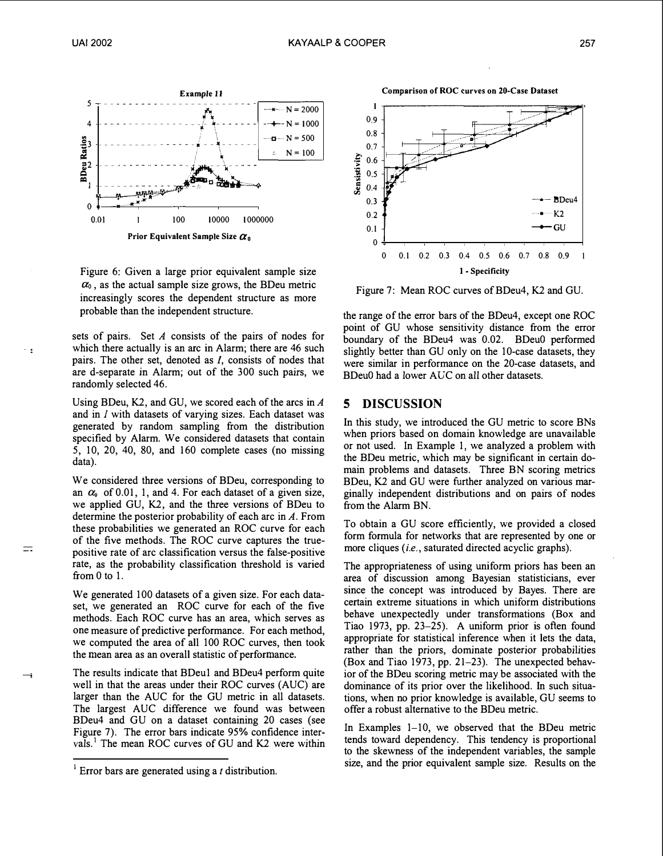$\equiv$ 



Figure 6: Given a large prior equivalent sample size  $\alpha_0$ , as the actual sample size grows, the BDeu metric increasingly scores the dependent structure as more probable than the independent structure.

sets of pairs. Set A consists of the pairs of nodes for which there actually is an arc in Alarm; there are 46 such pairs. The other set, denoted as /, consists of nodes that are d-separate in Alarm; out of the 300 such pairs, we randomly selected 46.

Using BDeu, K2, and GU, we scored each of the arcs in  $\Lambda$ and in I with datasets of varying sizes. Each dataset was generated by random sampling from the distribution specified by Alarm. We considered datasets that contain 5, 10, 20, 40, 80, and 160 complete cases (no missing data).

We considered three versions of BDeu, corresponding to an  $\alpha_0$  of 0.01, 1, and 4. For each dataset of a given size, we applied GU, K2, and the three versions of BDeu to determine the posterior probability of each arc in  $A$ . From these probabilities we generated an ROC curve for each of the five methods. The ROC curve captures the truepositive rate of arc classification versus the false-positive rate, as the probability classification threshold is varied from 0 to 1.

We generated 100 datasets of a given size. For each dataset, we generated an ROC curve for each of the five methods. Each ROC curve has an area, which serves as one measure of predictive performance. For each method, we computed the area of all 100 ROC curves, then took the mean area as an overall statistic of performance.

The results indicate that BDeu1 and BDeu4 perform quite well in that the areas under their ROC curves (AUC) are larger than the AUC for the GU metric in all datasets. The largest AUC difference we found was between BDeu4 and GU on a dataset containing 20 cases (see Figure 7). The error bars indicate 95% confidence intervals.<sup>1</sup> The mean ROC curves of GU and K2 were within

Comparison of ROC curves on 20-Case Dataset



Figure 7: Mean ROC curves of BDeu4, K2 and GU.

the range of the error bars of the BDeu4, except one ROC point of GU whose sensitivity distance from the error boundary of the BDeu4 was 0.02. BDeuO performed slightly better than GU only on the 10-case datasets, they were similar in performance on the 20-case datasets, and BDeuO had a lower AUC on all other datasets.

## 5 DISCUSSION

In this study, we introduced the GU metric to score BNs when priors based on domain knowledge are unavailable or not used. In Example I, we analyzed a problem with the BDeu metric, which may be significant in certain domain problems and datasets. Three BN scoring metrics BDeu, K2 and GU were further analyzed on various marginally independent distributions and on pairs of nodes from the Alarm BN.

To obtain a GU score efficiently, we provided a closed form formula for networks that are represented by one or more cliques (i.e., saturated directed acyclic graphs).

The appropriateness of using uniform priors has been an area of discussion among Bayesian statisticians, ever since the concept was introduced by Bayes. There are certain extreme situations in which uniform distributions behave unexpectedly under transformations (Box and Tiao 1973, pp. 23-25). A uniform prior is often found appropriate for statistical inference when it lets the data, rather than the priors, dominate posterior probabilities (Box and Tiao 1973, pp. 21-23). The unexpected behavior of the BDeu scoring metric may be associated with the dominance of its prior over the likelihood. In such situations, when no prior knowledge is available, GU seems to offer a robust alternative to the BDeu metric.

In Examples 1-10, we observed that the BDeu metric tends toward dependency. This tendency is proportional to the skewness of the independent variables, the sample size, and the prior equivalent sample size. Results on the

 $<sup>1</sup>$  Error bars are generated using a t distribution.</sup>